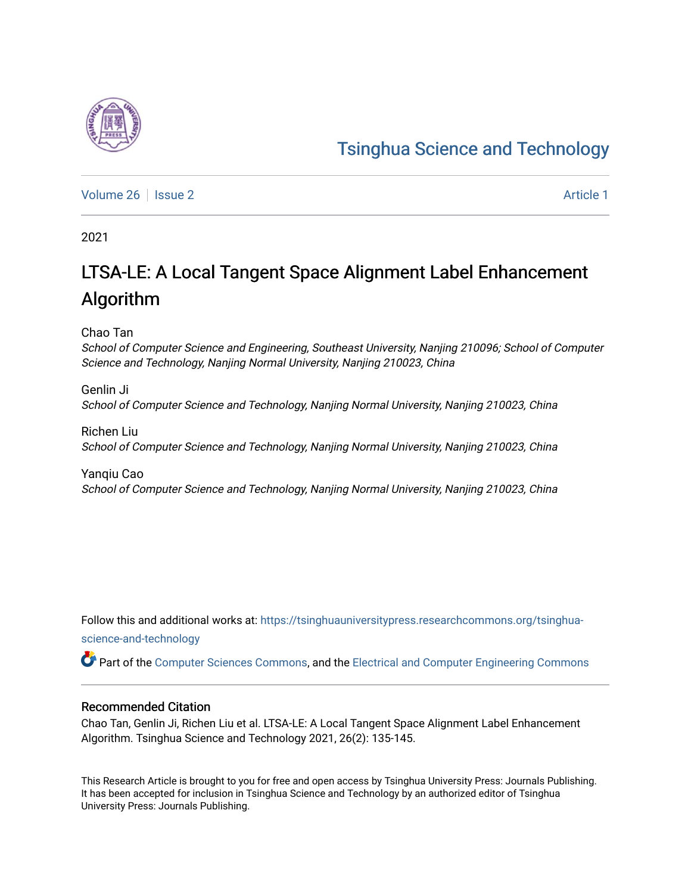# [Tsinghua Science and Technology](https://tsinghuauniversitypress.researchcommons.org/tsinghua-science-and-technology)

[Volume 26](https://tsinghuauniversitypress.researchcommons.org/tsinghua-science-and-technology/vol26) | [Issue 2](https://tsinghuauniversitypress.researchcommons.org/tsinghua-science-and-technology/vol26/iss2) Article 1

2021

# LTSA-LE: A Local Tangent Space Alignment Label Enhancement Algorithm

Chao Tan

School of Computer Science and Engineering, Southeast University, Nanjing 210096; School of Computer Science and Technology, Nanjing Normal University, Nanjing 210023, China

Genlin Ji School of Computer Science and Technology, Nanjing Normal University, Nanjing 210023, China

Richen Liu School of Computer Science and Technology, Nanjing Normal University, Nanjing 210023, China

Yanqiu Cao School of Computer Science and Technology, Nanjing Normal University, Nanjing 210023, China

Follow this and additional works at: [https://tsinghuauniversitypress.researchcommons.org/tsinghua](https://tsinghuauniversitypress.researchcommons.org/tsinghua-science-and-technology?utm_source=tsinghuauniversitypress.researchcommons.org%2Ftsinghua-science-and-technology%2Fvol26%2Fiss2%2F1&utm_medium=PDF&utm_campaign=PDFCoverPages)[science-and-technology](https://tsinghuauniversitypress.researchcommons.org/tsinghua-science-and-technology?utm_source=tsinghuauniversitypress.researchcommons.org%2Ftsinghua-science-and-technology%2Fvol26%2Fiss2%2F1&utm_medium=PDF&utm_campaign=PDFCoverPages)

Part of the [Computer Sciences Commons](http://network.bepress.com/hgg/discipline/142?utm_source=tsinghuauniversitypress.researchcommons.org%2Ftsinghua-science-and-technology%2Fvol26%2Fiss2%2F1&utm_medium=PDF&utm_campaign=PDFCoverPages), and the [Electrical and Computer Engineering Commons](http://network.bepress.com/hgg/discipline/266?utm_source=tsinghuauniversitypress.researchcommons.org%2Ftsinghua-science-and-technology%2Fvol26%2Fiss2%2F1&utm_medium=PDF&utm_campaign=PDFCoverPages)

# Recommended Citation

Chao Tan, Genlin Ji, Richen Liu et al. LTSA-LE: A Local Tangent Space Alignment Label Enhancement Algorithm. Tsinghua Science and Technology 2021, 26(2): 135-145.

This Research Article is brought to you for free and open access by Tsinghua University Press: Journals Publishing. It has been accepted for inclusion in Tsinghua Science and Technology by an authorized editor of Tsinghua University Press: Journals Publishing.

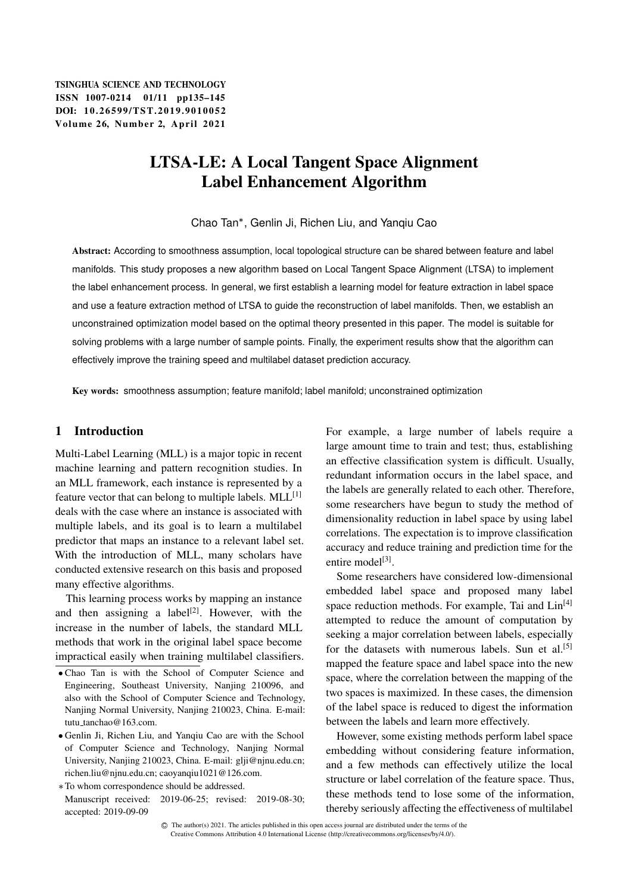# LTSA-LE: A Local Tangent Space Alignment Label Enhancement Algorithm

Chao Tan , Genlin Ji, Richen Liu, and Yanqiu Cao

Abstract: According to smoothness assumption, local topological structure can be shared between feature and label manifolds. This study proposes a new algorithm based on Local Tangent Space Alignment (LTSA) to implement the label enhancement process. In general, we first establish a learning model for feature extraction in label space and use a feature extraction method of LTSA to guide the reconstruction of label manifolds. Then, we establish an unconstrained optimization model based on the optimal theory presented in this paper. The model is suitable for solving problems with a large number of sample points. Finally, the experiment results show that the algorithm can effectively improve the training speed and multilabel dataset prediction accuracy.

Key words: smoothness assumption; feature manifold; label manifold; unconstrained optimization

# 1 Introduction

Multi-Label Learning (MLL) is a major topic in recent machine learning and pattern recognition studies. In an MLL framework, each instance is represented by a feature vector that can belong to multiple labels.  $MLL^{[1]}$ deals with the case where an instance is associated with multiple labels, and its goal is to learn a multilabel predictor that maps an instance to a relevant label set. With the introduction of MLL, many scholars have conducted extensive research on this basis and proposed many effective algorithms.

This learning process works by mapping an instance and then assigning a label<sup>[2]</sup>. However, with the increase in the number of labels, the standard MLL methods that work in the original label space become impractical easily when training multilabel classifiers.

To whom correspondence should be addressed.

For example, a large number of labels require a large amount time to train and test; thus, establishing an effective classification system is difficult. Usually, redundant information occurs in the label space, and the labels are generally related to each other. Therefore, some researchers have begun to study the method of dimensionality reduction in label space by using label correlations. The expectation is to improve classification accuracy and reduce training and prediction time for the entire model<sup>[3]</sup>.

Some researchers have considered low-dimensional embedded label space and proposed many label space reduction methods. For example, Tai and  $\text{Lin}^{[4]}$ attempted to reduce the amount of computation by seeking a major correlation between labels, especially for the datasets with numerous labels. Sun et al.<sup>[5]</sup> mapped the feature space and label space into the new space, where the correlation between the mapping of the two spaces is maximized. In these cases, the dimension of the label space is reduced to digest the information between the labels and learn more effectively.

However, some existing methods perform label space embedding without considering feature information, and a few methods can effectively utilize the local structure or label correlation of the feature space. Thus, these methods tend to lose some of the information, thereby seriously affecting the effectiveness of multilabel

Chao Tan is with the School of Computer Science and Engineering, Southeast University, Nanjing 210096, and also with the School of Computer Science and Technology, Nanjing Normal University, Nanjing 210023, China. E-mail: tutu\_tanchao@163.com.

Genlin Ji, Richen Liu, and Yanqiu Cao are with the School of Computer Science and Technology, Nanjing Normal University, Nanjing 210023, China. E-mail: glji@njnu.edu.cn; richen.liu@njnu.edu.cn; caoyanqiu1021@126.com.

Manuscript received: 2019-06-25; revised: 2019-08-30; accepted: 2019-09-09

C The author(s) 2021. The articles published in this open access journal are distributed under the terms of the Creative Commons Attribution 4.0 International License (http://creativecommons.org/licenses/by/4.0/).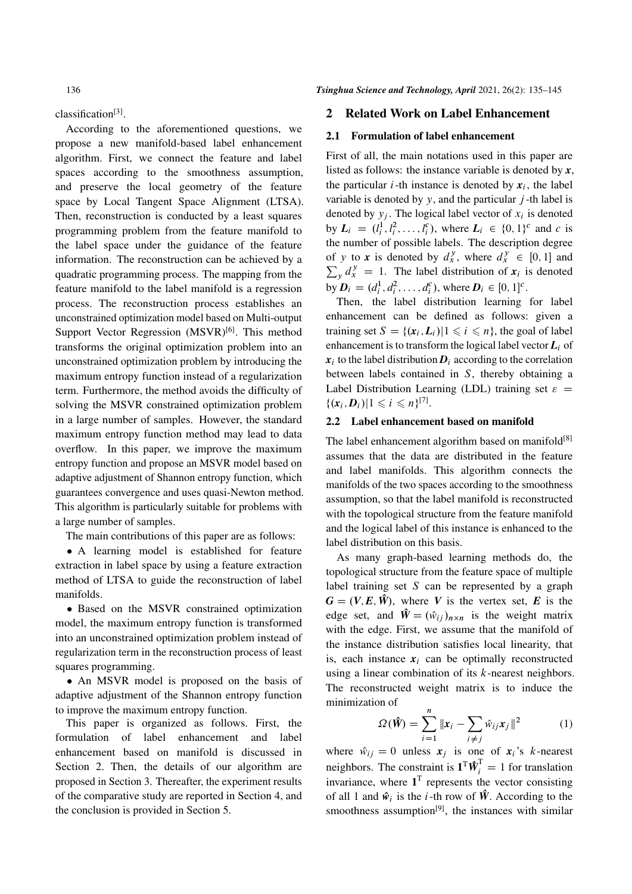classification<sup>[3]</sup>.

According to the aforementioned questions, we propose a new manifold-based label enhancement algorithm. First, we connect the feature and label spaces according to the smoothness assumption, and preserve the local geometry of the feature space by Local Tangent Space Alignment (LTSA). Then, reconstruction is conducted by a least squares programming problem from the feature manifold to the label space under the guidance of the feature information. The reconstruction can be achieved by a quadratic programming process. The mapping from the feature manifold to the label manifold is a regression process. The reconstruction process establishes an unconstrained optimization model based on Multi-output Support Vector Regression  $(MSVR)^{[6]}$ . This method transforms the original optimization problem into an unconstrained optimization problem by introducing the maximum entropy function instead of a regularization term. Furthermore, the method avoids the difficulty of solving the MSVR constrained optimization problem in a large number of samples. However, the standard maximum entropy function method may lead to data overflow. In this paper, we improve the maximum entropy function and propose an MSVR model based on adaptive adjustment of Shannon entropy function, which guarantees convergence and uses quasi-Newton method. This algorithm is particularly suitable for problems with a large number of samples.

The main contributions of this paper are as follows:

 A learning model is established for feature extraction in label space by using a feature extraction method of LTSA to guide the reconstruction of label manifolds.

 Based on the MSVR constrained optimization model, the maximum entropy function is transformed into an unconstrained optimization problem instead of regularization term in the reconstruction process of least squares programming.

 An MSVR model is proposed on the basis of adaptive adjustment of the Shannon entropy function to improve the maximum entropy function.

This paper is organized as follows. First, the formulation of label enhancement and label enhancement based on manifold is discussed in Section 2. Then, the details of our algorithm are proposed in Section 3. Thereafter, the experiment results of the comparative study are reported in Section 4, and the conclusion is provided in Section 5.

# 2 Related Work on Label Enhancement

#### 2.1 Formulation of label enhancement

First of all, the main notations used in this paper are listed as follows: the instance variable is denoted by *x*, the particular  $i$ -th instance is denoted by  $x_i$ , the label variable is denoted by  $y$ , and the particular  $j$ -th label is denoted by  $y_j$ . The logical label vector of  $x_i$  is denoted by  $L_i = (l_i^1, l_i^2, \dots, l_i^c)$ , where  $L_i \in \{0, 1\}^c$  and c is the number of possible labels. The description degree of y to x is denoted by  $d_x^y$ , where  $d_x^y \in [0,1]$  and  $\sum_{y} d_{x}^{y} = 1$ . The label distribution of  $x_i$  is denoted by  $D_i = (d_i^1, d_i^2, \dots, d_i^c)$ , where  $D_i \in [0, 1]^c$ .

Then, the label distribution learning for label enhancement can be defined as follows: given a training set  $S = \{(\mathbf{x}_i, \mathbf{L}_i) | 1 \leq i \leq n\}$ , the goal of label enhancement is to transform the logical label vector  $L_i$  of  $x_i$  to the label distribution  $D_i$  according to the correlation between labels contained in S, thereby obtaining a Label Distribution Learning (LDL) training set  $\varepsilon$  =  $\{(\mathbf{x}_i, \mathbf{D}_i) | 1 \leq i \leq n\}^{[7]}$ .

# 2.2 Label enhancement based on manifold

The label enhancement algorithm based on manifold $[8]$ assumes that the data are distributed in the feature and label manifolds. This algorithm connects the manifolds of the two spaces according to the smoothness assumption, so that the label manifold is reconstructed with the topological structure from the feature manifold and the logical label of this instance is enhanced to the label distribution on this basis.

As many graph-based learning methods do, the topological structure from the feature space of multiple label training set  $S$  can be represented by a graph  $G = (V, E, \hat{W})$ , where *V* is the vertex set, *E* is the edge set, and  $\hat{W} = (\hat{w}_{ij})_{n \times n}$  is the weight matrix with the edge. First, we assume that the manifold of the instance distribution satisfies local linearity, that is, each instance  $x_i$  can be optimally reconstructed using a linear combination of its k-nearest neighbors. The reconstructed weight matrix is to induce the minimization of

$$
\Omega(\hat{\mathbf{W}}) = \sum_{i=1}^{n} \|\mathbf{x}_i - \sum_{i \neq j} \hat{w}_{ij} \mathbf{x}_j\|^2 \tag{1}
$$

where  $\hat{w}_{ij} = 0$  unless  $x_j$  is one of  $x_i$ 's k-nearest neighbors. The constraint is  $\mathbf{1}^T \hat{\mathbf{W}}_i^T = 1$  for translation invariance, where  $1<sup>T</sup>$  represents the vector consisting of all 1 and  $\hat{w}_i$  is the *i*-th row of  $\hat{W}$ . According to the smoothness assumption<sup>[9]</sup>, the instances with similar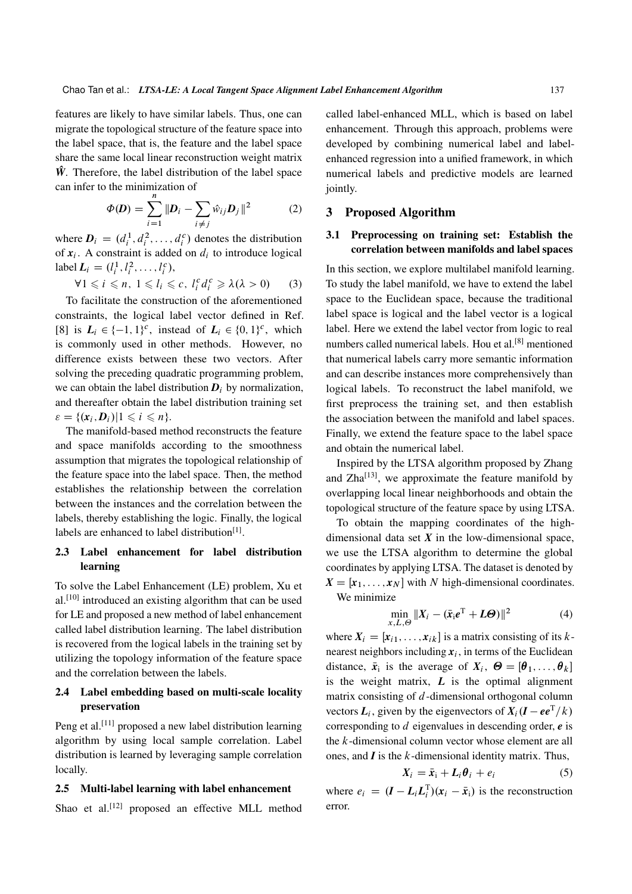features are likely to have similar labels. Thus, one can migrate the topological structure of the feature space into the label space, that is, the feature and the label space share the same local linear reconstruction weight matrix  $\hat{W}$ . Therefore, the label distribution of the label space can infer to the minimization of

$$
\Phi(\bm{D}) = \sum_{i=1}^{n} ||\bm{D}_i - \sum_{i \neq j} \hat{w}_{ij} \bm{D}_j||^2
$$
 (2)

where  $D_i = (d_i^1, d_i^2, \dots, d_i^c)$  denotes the distribution of  $x_i$ . A constraint is added on  $d_i$  to introduce logical label  $L_i = (l_i^1, l_i^2, \dots, l_i^c),$ 

$$
\forall 1 \leq i \leq n, \ 1 \leq l_i \leq c, \ l_i^c d_i^c \geq \lambda(\lambda > 0) \tag{3}
$$

To facilitate the construction of the aforementioned constraints, the logical label vector defined in Ref. [8] is  $L_i \in \{-1, 1\}^c$ , instead of  $L_i \in \{0, 1\}^c$ , which is commonly used in other methods. However, no difference exists between these two vectors. After solving the preceding quadratic programming problem, we can obtain the label distribution  $D_i$  by normalization, and thereafter obtain the label distribution training set  $\varepsilon = \{(\mathbf{x}_i, \mathbf{D}_i) | 1 \leq i \leq n\}.$ 

The manifold-based method reconstructs the feature and space manifolds according to the smoothness assumption that migrates the topological relationship of the feature space into the label space. Then, the method establishes the relationship between the correlation between the instances and the correlation between the labels, thereby establishing the logic. Finally, the logical labels are enhanced to label distribution<sup>[1]</sup>.

# 2.3 Label enhancement for label distribution learning

To solve the Label Enhancement (LE) problem, Xu et al.[10] introduced an existing algorithm that can be used for LE and proposed a new method of label enhancement called label distribution learning. The label distribution is recovered from the logical labels in the training set by utilizing the topology information of the feature space and the correlation between the labels.

# 2.4 Label embedding based on multi-scale locality preservation

Peng et al.<sup>[11]</sup> proposed a new label distribution learning algorithm by using local sample correlation. Label distribution is learned by leveraging sample correlation locally.

#### 2.5 Multi-label learning with label enhancement

Shao et al.<sup>[12]</sup> proposed an effective MLL method

called label-enhanced MLL, which is based on label enhancement. Through this approach, problems were developed by combining numerical label and labelenhanced regression into a unified framework, in which numerical labels and predictive models are learned jointly.

# 3 Proposed Algorithm

# 3.1 Preprocessing on training set: Establish the correlation between manifolds and label spaces

In this section, we explore multilabel manifold learning. To study the label manifold, we have to extend the label space to the Euclidean space, because the traditional label space is logical and the label vector is a logical label. Here we extend the label vector from logic to real numbers called numerical labels. Hou et al.[8] mentioned that numerical labels carry more semantic information and can describe instances more comprehensively than logical labels. To reconstruct the label manifold, we first preprocess the training set, and then establish the association between the manifold and label spaces. Finally, we extend the feature space to the label space and obtain the numerical label.

Inspired by the LTSA algorithm proposed by Zhang and  $Zha^{[13]}$ , we approximate the feature manifold by overlapping local linear neighborhoods and obtain the topological structure of the feature space by using LTSA.

To obtain the mapping coordinates of the highdimensional data set  $X$  in the low-dimensional space, we use the LTSA algorithm to determine the global coordinates by applying LTSA. The dataset is denoted by  $X = [x_1, \ldots, x_N]$  with N high-dimensional coordinates. We minimize

$$
\min_{x,L,\Theta} \|X_i - (\bar{x}_i e^{\mathrm{T}} + L\Theta)\|^2 \tag{4}
$$

where  $X_i = [x_{i1}, \dots, x_{ik}]$  is a matrix consisting of its knearest neighbors including  $x_i$ , in terms of the Euclidean distance,  $\bar{x}_i$  is the average of  $X_i$ ,  $\Theta = [\theta_1, \dots, \theta_k]$ is the weight matrix,  $L$  is the optimal alignment matrix consisting of d-dimensional orthogonal column vectors  $\boldsymbol{L}_i$ , given by the eigenvectors of  $\boldsymbol{X}_i(\boldsymbol{I} - \boldsymbol{e} \boldsymbol{e}^{\mathrm{T}}/k)$ corresponding to d eigenvalues in descending order, *e* is the  $k$ -dimensional column vector whose element are all ones, and *I* is the k-dimensional identity matrix. Thus,

$$
X_i = \bar{x}_i + L_i \theta_i + e_i \tag{5}
$$

where  $e_i = (I - L_i L_i^T)(x_i - \bar{x}_i)$  is the reconstruction error.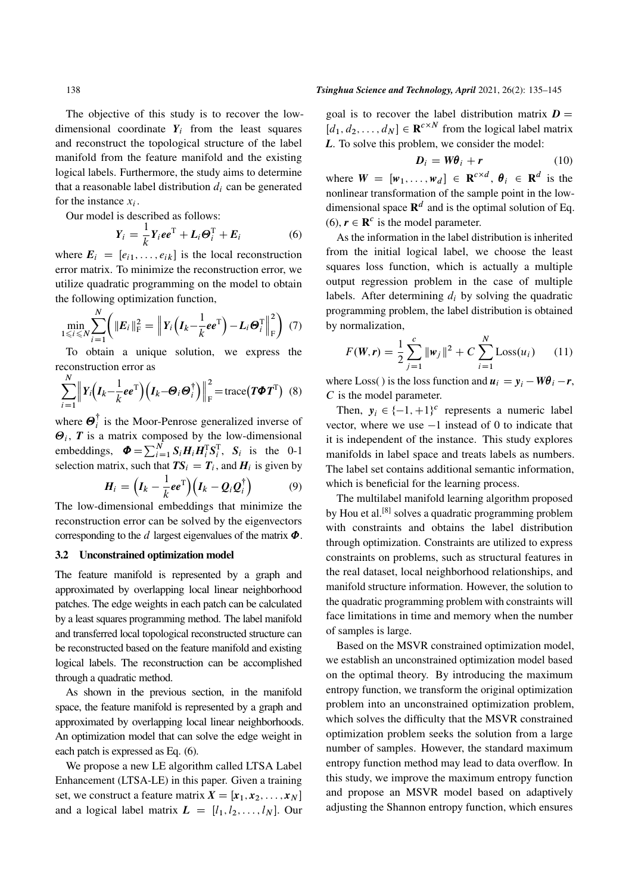The objective of this study is to recover the lowdimensional coordinate  $Y_i$  from the least squares and reconstruct the topological structure of the label manifold from the feature manifold and the existing logical labels. Furthermore, the study aims to determine that a reasonable label distribution  $d_i$  can be generated for the instance  $x_i$ .

Our model is described as follows:

$$
Y_i = \frac{1}{k} Y_i e e^{\mathrm{T}} + L_i \Theta_i^{\mathrm{T}} + E_i \tag{6}
$$

where  $E_i = [e_{i1}, \ldots, e_{ik}]$  is the local reconstruction error matrix. To minimize the reconstruction error, we utilize quadratic programming on the model to obtain the following optimization function,

$$
\min_{1 \leq i \leq N} \sum_{i=1}^{N} \left( \Vert E_i \Vert_{\mathrm{F}}^2 = \Big\Vert Y_i \left( I_k - \frac{1}{k} e e^{\mathrm{T}} \right) - L_i \Theta_i^{\mathrm{T}} \Big\Vert_{\mathrm{F}}^2 \right) (7)
$$

To obtain a unique solution, we express the reconstruction error as

$$
\sum_{i=1}^{N} \left\| Y_i \left( I_k - \frac{1}{k} e e^{T} \right) \left( I_k - \Theta_i \Theta_i^{\dagger} \right) \right\|_{\text{F}}^2 = \text{trace} \left( T \Phi T^{\text{T}} \right) \tag{8}
$$

where  $\boldsymbol{\Theta}_i^{\dagger}$  $i$  is the Moor-Penrose generalized inverse of  $\Theta_i$ , **T** is a matrix composed by the low-dimensional embeddings,  $\boldsymbol{\Phi} = \sum_{i=1}^{N} S_i \boldsymbol{H}_i \boldsymbol{H}_i^{\mathrm{T}} S_i^{\mathrm{T}}$ ,  $S_i$  is the 0-1 selection matrix, such that  $TS_i = T_i$ , and  $H_i$  is given by

$$
\boldsymbol{H}_i = \left(\boldsymbol{I}_k - \frac{1}{k} \boldsymbol{e} \boldsymbol{e}^{\mathrm{T}}\right) \left(\boldsymbol{I}_k - \boldsymbol{Q}_i \boldsymbol{Q}_i^{\dagger}\right) \tag{9}
$$

The low-dimensional embeddings that minimize the reconstruction error can be solved by the eigenvectors corresponding to the d largest eigenvalues of the matrix  $\Phi$ .

#### 3.2 Unconstrained optimization model

The feature manifold is represented by a graph and approximated by overlapping local linear neighborhood patches. The edge weights in each patch can be calculated by a least squares programming method. The label manifold and transferred local topological reconstructed structure can be reconstructed based on the feature manifold and existing logical labels. The reconstruction can be accomplished through a quadratic method.

As shown in the previous section, in the manifold space, the feature manifold is represented by a graph and approximated by overlapping local linear neighborhoods. An optimization model that can solve the edge weight in each patch is expressed as Eq. (6).

We propose a new LE algorithm called LTSA Label Enhancement (LTSA-LE) in this paper. Given a training set, we construct a feature matrix  $X = [x_1, x_2, \dots, x_N]$ and a logical label matrix  $L = [l_1, l_2, \ldots, l_N]$ . Our

#### 138 *Tsinghua Science and Technology, April* 2021, 26(2): 135–145

goal is to recover the label distribution matrix  $D =$  $[d_1, d_2, \dots, d_N] \in \mathbf{R}^{c \times N}$  from the logical label matrix *L*. To solve this problem, we consider the model:

$$
D_i = W\theta_i + r \tag{10}
$$

where  $W = [w_1, \dots, w_d] \in \mathbb{R}^{c \times d}, \theta_i \in \mathbb{R}^d$  is the nonlinear transformation of the sample point in the lowdimensional space  $\mathbf{R}^d$  and is the optimal solution of Eq. (6),  $r \in \mathbb{R}^c$  is the model parameter.

As the information in the label distribution is inherited from the initial logical label, we choose the least squares loss function, which is actually a multiple output regression problem in the case of multiple labels. After determining  $d_i$  by solving the quadratic programming problem, the label distribution is obtained by normalization,

$$
F(\mathbf{W}, \mathbf{r}) = \frac{1}{2} \sum_{j=1}^{c} ||\mathbf{w}_j||^2 + C \sum_{i=1}^{N} \text{Loss}(u_i)
$$
 (11)

where Loss() is the loss function and  $u_i = y_i - W\theta_i - r$ , C is the model parameter.

Then,  $y_i \in \{-1, +1\}^c$  represents a numeric label vector, where we use  $-1$  instead of 0 to indicate that it is independent of the instance. This study explores manifolds in label space and treats labels as numbers. The label set contains additional semantic information, which is beneficial for the learning process.

The multilabel manifold learning algorithm proposed by Hou et al.<sup>[8]</sup> solves a quadratic programming problem with constraints and obtains the label distribution through optimization. Constraints are utilized to express constraints on problems, such as structural features in the real dataset, local neighborhood relationships, and manifold structure information. However, the solution to the quadratic programming problem with constraints will face limitations in time and memory when the number of samples is large.

Based on the MSVR constrained optimization model, we establish an unconstrained optimization model based on the optimal theory. By introducing the maximum entropy function, we transform the original optimization problem into an unconstrained optimization problem, which solves the difficulty that the MSVR constrained optimization problem seeks the solution from a large number of samples. However, the standard maximum entropy function method may lead to data overflow. In this study, we improve the maximum entropy function and propose an MSVR model based on adaptively adjusting the Shannon entropy function, which ensures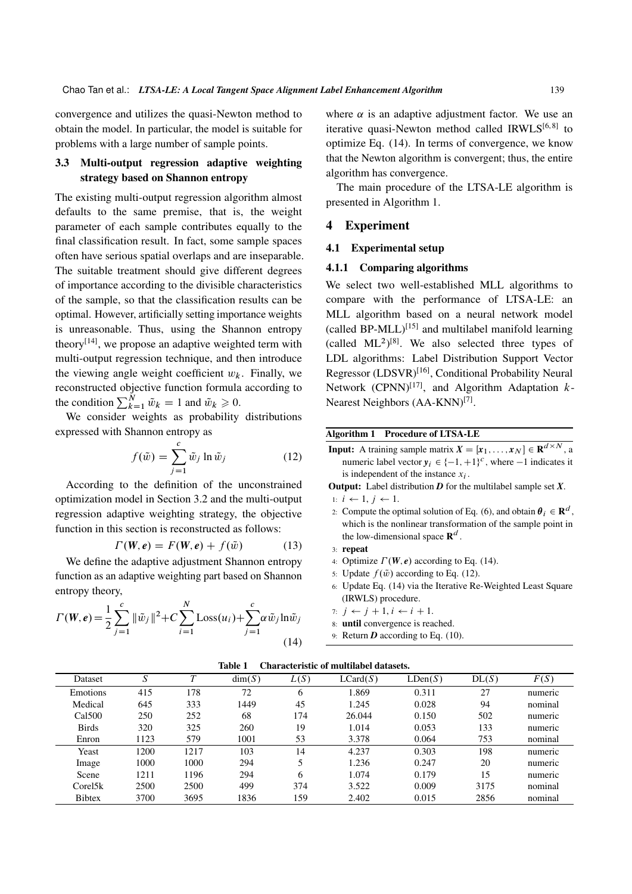convergence and utilizes the quasi-Newton method to obtain the model. In particular, the model is suitable for problems with a large number of sample points.

# 3.3 Multi-output regression adaptive weighting strategy based on Shannon entropy

The existing multi-output regression algorithm almost defaults to the same premise, that is, the weight parameter of each sample contributes equally to the final classification result. In fact, some sample spaces often have serious spatial overlaps and are inseparable. The suitable treatment should give different degrees of importance according to the divisible characteristics of the sample, so that the classification results can be optimal. However, artificially setting importance weights is unreasonable. Thus, using the Shannon entropy theory<sup>[14]</sup>, we propose an adaptive weighted term with multi-output regression technique, and then introduce the viewing angle weight coefficient  $w_k$ . Finally, we reconstructed objective function formula according to the condition  $\sum_{k=1}^{N} \tilde{w}_k = 1$  and  $\tilde{w}_k \ge 0$ .

We consider weights as probability distributions expressed with Shannon entropy as

$$
f(\tilde{w}) = \sum_{j=1}^{c} \tilde{w}_j \ln \tilde{w}_j
$$
 (12)

According to the definition of the unconstrained optimization model in Section 3.2 and the multi-output regression adaptive weighting strategy, the objective function in this section is reconstructed as follows:

$$
\Gamma(W, e) = F(W, e) + f(\tilde{w}) \tag{13}
$$

We define the adaptive adjustment Shannon entropy function as an adaptive weighting part based on Shannon entropy theory,

$$
\Gamma(W, e) = \frac{1}{2} \sum_{j=1}^{c} ||\tilde{w}_j||^2 + C \sum_{i=1}^{N} \text{Loss}(u_i) + \sum_{j=1}^{c} \alpha \tilde{w}_j \ln \tilde{w}_j
$$
\n(14)

where  $\alpha$  is an adaptive adjustment factor. We use an iterative quasi-Newton method called  $IRWLS^{[6,8]}$  to optimize Eq. (14). In terms of convergence, we know that the Newton algorithm is convergent; thus, the entire algorithm has convergence.

The main procedure of the LTSA-LE algorithm is presented in Algorithm 1.

#### 4 Experiment

#### 4.1 Experimental setup

#### 4.1.1 Comparing algorithms

We select two well-established MLL algorithms to compare with the performance of LTSA-LE: an MLL algorithm based on a neural network model (called BP-MLL) $^{[15]}$  and multilabel manifold learning  $(called ML<sup>2</sup>)<sup>[8]</sup>$ . We also selected three types of LDL algorithms: Label Distribution Support Vector Regressor (LDSVR)<sup>[16]</sup>, Conditional Probability Neural Network (CPNN)<sup>[17]</sup>, and Algorithm Adaptation  $k$ -Nearest Neighbors (AA-KNN)<sup>[7]</sup>.

#### Algorithm 1 Procedure of LTSA-LE

- **Input:** A training sample matrix  $X = [x_1, \dots, x_N] \in \mathbb{R}^{d \times N}$ , a numeric label vector  $y_i \in \{-1, +1\}^c$ , where  $-1$  indicates it is independent of the instance  $x_i$ .
- Output: Label distribution *D* for the multilabel sample set *X*.

1:  $i \leftarrow 1, j \leftarrow 1$ .

2: Compute the optimal solution of Eq. (6), and obtain  $\theta_i \in \mathbb{R}^d$ , which is the nonlinear transformation of the sample point in the low-dimensional space  $\mathbf{R}^d$ .

$$
3: \> \> \textbf{repeat}
$$

- 4: Optimize  $\Gamma(W, e)$  according to Eq. (14).
- 5: Update  $f(\tilde{w})$  according to Eq. (12).
- 6: Update Eq. (14) via the Iterative Re-Weighted Least Square (IRWLS) procedure.
- 7:  $i \leftarrow i + 1, i \leftarrow i + 1$ .
- 8: until convergence is reached.
- 9: Return *D* according to Eq. (10).

|               | Table T<br>Characteristic of multilabel datasets. |      |        |      |          |         |       |         |  |  |  |  |
|---------------|---------------------------------------------------|------|--------|------|----------|---------|-------|---------|--|--|--|--|
| Dataset       | S                                                 |      | dim(S) | L(S) | LCard(S) | LDen(S) | DL(S) | F(S)    |  |  |  |  |
| Emotions      | 415                                               | 178  | 72     | 6    | 1.869    | 0.311   | 27    | numeric |  |  |  |  |
| Medical       | 645                                               | 333  | 1449   | 45   | 1.245    | 0.028   | 94    | nominal |  |  |  |  |
| Cal500        | 250                                               | 252  | 68     | 174  | 26.044   | 0.150   | 502   | numeric |  |  |  |  |
| Birds         | 320                                               | 325  | 260    | 19   | 1.014    | 0.053   | 133   | numeric |  |  |  |  |
| Enron         | 1123                                              | 579  | 1001   | 53   | 3.378    | 0.064   | 753   | nominal |  |  |  |  |
| Yeast         | 1200                                              | 1217 | 103    | 14   | 4.237    | 0.303   | 198   | numeric |  |  |  |  |
| Image         | 1000                                              | 1000 | 294    |      | 1.236    | 0.247   | 20    | numeric |  |  |  |  |
| Scene         | 1211                                              | 1196 | 294    | 6    | 1.074    | 0.179   | 15    | numeric |  |  |  |  |
| Core15k       | 2500                                              | 2500 | 499    | 374  | 3.522    | 0.009   | 3175  | nominal |  |  |  |  |
| <b>Bibtex</b> | 3700                                              | 3695 | 1836   | 159  | 2.402    | 0.015   | 2856  | nominal |  |  |  |  |

# Table 1 Characteristic of multilabel datasets.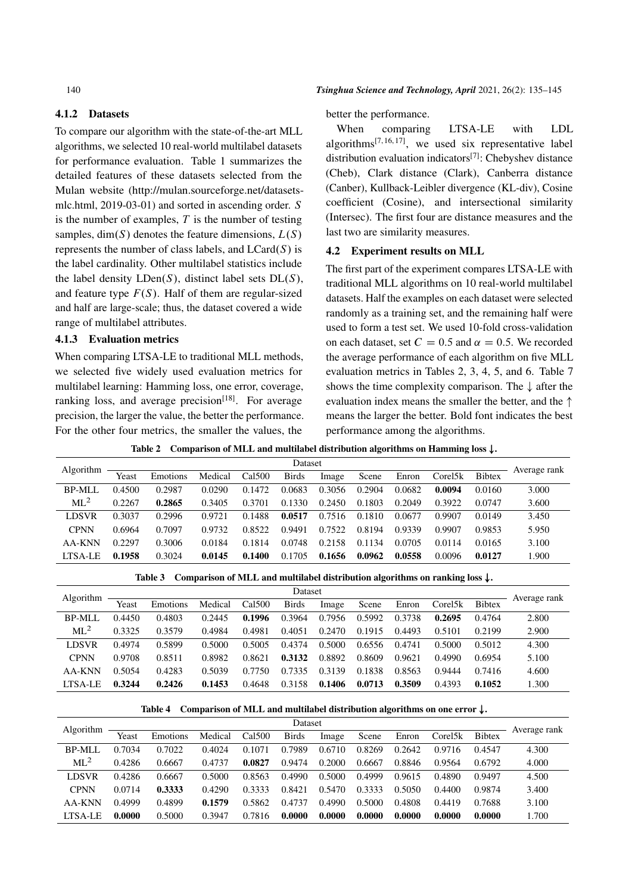## 4.1.2 Datasets

To compare our algorithm with the state-of-the-art MLL algorithms, we selected 10 real-world multilabel datasets for performance evaluation. Table 1 summarizes the detailed features of these datasets selected from the Mulan website (http://mulan.sourceforge.net/datasetsmlc.html, 2019-03-01) and sorted in ascending order. S is the number of examples,  $T$  is the number of testing samples, dim $(S)$  denotes the feature dimensions,  $L(S)$ represents the number of class labels, and  $LCard(S)$  is the label cardinality. Other multilabel statistics include the label density  $LDen(S)$ , distinct label sets  $DL(S)$ , and feature type  $F(S)$ . Half of them are regular-sized and half are large-scale; thus, the dataset covered a wide range of multilabel attributes.

#### 4.1.3 Evaluation metrics

When comparing LTSA-LE to traditional MLL methods, we selected five widely used evaluation metrics for multilabel learning: Hamming loss, one error, coverage, ranking loss, and average precision $[18]$ . For average precision, the larger the value, the better the performance. For the other four metrics, the smaller the values, the

#### better the performance.

When comparing LTSA-LE with LDL algorithms<sup>[7, 16, 17]</sup>, we used six representative label distribution evaluation indicators[7]: Chebyshev distance (Cheb), Clark distance (Clark), Canberra distance (Canber), Kullback-Leibler divergence (KL-div), Cosine coefficient (Cosine), and intersectional similarity (Intersec). The first four are distance measures and the last two are similarity measures.

#### 4.2 Experiment results on MLL

The first part of the experiment compares LTSA-LE with traditional MLL algorithms on 10 real-world multilabel datasets. Half the examples on each dataset were selected randomly as a training set, and the remaining half were used to form a test set. We used 10-fold cross-validation on each dataset, set  $C = 0.5$  and  $\alpha = 0.5$ . We recorded the average performance of each algorithm on five MLL evaluation metrics in Tables 2, 3, 4, 5, and 6. Table 7 shows the time complexity comparison. The  $\downarrow$  after the evaluation index means the smaller the better, and the  $\uparrow$ means the larger the better. Bold font indicates the best performance among the algorithms.

|  | Table 2 Comparison of MLL and multilabel distribution algorithms on Hamming loss $\downarrow$ . |
|--|-------------------------------------------------------------------------------------------------|
|  |                                                                                                 |

| Algorithm       |        |          |         |        | Dataset      |        |        |        |         |               | Average rank |
|-----------------|--------|----------|---------|--------|--------------|--------|--------|--------|---------|---------------|--------------|
|                 | Yeast  | Emotions | Medical | Cal500 | <b>Birds</b> | Image  | Scene  | Enron  | Corel5k | <b>Bibtex</b> |              |
| BP-MLL          | 0.4500 | 0.2987   | 0.0290  | 0.1472 | 0.0683       | 0.3056 | 0.2904 | 0.0682 | 0.0094  | 0.0160        | 3.000        |
| ML <sup>2</sup> | 0.2267 | 0.2865   | 0.3405  | 0.3701 | 0.1330       | 0.2450 | 0.1803 | 0.2049 | 0.3922  | 0.0747        | 3.600        |
| LDSVR           | 0.3037 | 0.2996   | 0.9721  | 0.1488 | 0.0517       | 0.7516 | 0.1810 | 0.0677 | 0.9907  | 0.0149        | 3.450        |
| <b>CPNN</b>     | 0.6964 | 0.7097   | 0.9732  | 0.8522 | 0.9491       | 0.7522 | 0.8194 | 0.9339 | 0.9907  | 0.9853        | 5.950        |
| AA-KNN          | 0.2297 | 0.3006   | 0.0184  | 0.1814 | 0.0748       | 0.2158 | 0.1134 | 0.0705 | 0.0114  | 0.0165        | 3.100        |
| LTSA-LE         | 0.1958 | 0.3024   | 0.0145  | 0.1400 | 0.1705       | 0.1656 | 0.0962 | 0.0558 | 0.0096  | 0.0127        | 1.900        |

Table 3 Comparison of MLL and multilabel distribution algorithms on ranking loss  $\downarrow$ .

| Algorithm       |        |          |         |        | Dataset      |        |        |        |         |               | Average rank |
|-----------------|--------|----------|---------|--------|--------------|--------|--------|--------|---------|---------------|--------------|
|                 | Yeast  | Emotions | Medical | Cal500 | <b>Birds</b> | Image  | Scene  | Enron  | Core15k | <b>Bibtex</b> |              |
| <b>BP-MLL</b>   | 0.4450 | 0.4803   | 0.2445  | 0.1996 | 0.3964       | 0.7956 | 0.5992 | 0.3738 | 0.2695  | 0.4764        | 2.800        |
| ML <sup>2</sup> | 0.3325 | 0.3579   | 0.4984  | 0.4981 | 0.4051       | 0.2470 | 0.1915 | 0.4493 | 0.5101  | 0.2199        | 2.900        |
| LDSVR           | 0.4974 | 0.5899   | 0.5000  | 0.5005 | 0.4374       | 0.5000 | 0.6556 | 0.4741 | 0.5000  | 0.5012        | 4.300        |
| <b>CPNN</b>     | 0.9708 | 0.8511   | 0.8982  | 0.8621 | 0.3132       | 0.8892 | 0.8609 | 0.9621 | 0.4990  | 0.6954        | 5.100        |
| AA-KNN          | 0.5054 | 0.4283   | 0.5039  | 0.7750 | 0.7335       | 0.3139 | 0.1838 | 0.8563 | 0.9444  | 0.7416        | 4.600        |
| LTSA-LE         | 0.3244 | 0.2426   | 0.1453  | 0.4648 | 0.3158       | 0.1406 | 0.0713 | 0.3509 | 0.4393  | 0.1052        | 1.300        |

Table 4 Comparison of MLL and multilabel distribution algorithms on one error  $\downarrow$ .

| Algorithm    |        |          |         |        | Dataset      |        |        |        |         |               | Average rank |
|--------------|--------|----------|---------|--------|--------------|--------|--------|--------|---------|---------------|--------------|
|              | Yeast  | Emotions | Medical | Cal500 | <b>Birds</b> | Image  | Scene  | Enron  | Core15k | <b>Bibtex</b> |              |
| BP-MLL       | 0.7034 | 0.7022   | 0.4024  | 0.1071 | 0.7989       | 0.6710 | 0.8269 | 0.2642 | 0.9716  | 0.4547        | 4.300        |
| $ML^2$       | 0.4286 | 0.6667   | 0.4737  | 0.0827 | 0.9474       | 0.2000 | 0.6667 | 0.8846 | 0.9564  | 0.6792        | 4.000        |
| <b>LDSVR</b> | 0.4286 | 0.6667   | 0.5000  | 0.8563 | 0.4990       | 0.5000 | 0.4999 | 0.9615 | 0.4890  | 0.9497        | 4.500        |
| <b>CPNN</b>  | 0.0714 | 0.3333   | 0.4290  | 0.3333 | 0.8421       | 0.5470 | 0.3333 | 0.5050 | 0.4400  | 0.9874        | 3.400        |
| AA-KNN       | 0.4999 | 0.4899   | 0.1579  | 0.5862 | 0.4737       | 0.4990 | 0.5000 | 0.4808 | 0.4419  | 0.7688        | 3.100        |
| LTSA-LE      | 0.0000 | 0.5000   | 0.3947  | 0.7816 | 0.0000       | 0.0000 | 0.0000 | 0.0000 | 0.0000  | 0.0000        | 1.700        |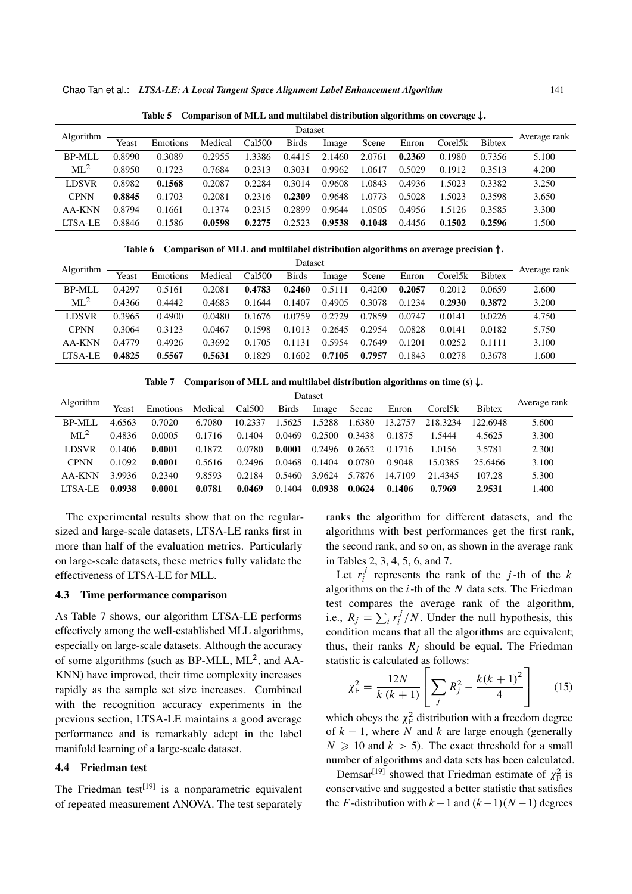Chao Tan et al.: *LTSA-LE: A Local Tangent Space Alignment Label Enhancement Algorithm* 141

| <b>Algorithm</b> |        |          |         |        | Dataset      |        |        |        |         |               | Average rank |
|------------------|--------|----------|---------|--------|--------------|--------|--------|--------|---------|---------------|--------------|
|                  | Yeast  | Emotions | Medical | Cal500 | <b>Birds</b> | Image  | Scene  | Enron  | Corel5k | <b>Bibtex</b> |              |
| BP-MLL           | 0.8990 | 0.3089   | 0.2955  | .3386  | 0.4415       | 2.1460 | 2.0761 | 0.2369 | 0.1980  | 0.7356        | 5.100        |
| ML <sup>2</sup>  | 0.8950 | 0.1723   | 0.7684  | 0.2313 | 0.3031       | 0.9962 | 1.0617 | 0.5029 | 0.1912  | 0.3513        | 4.200        |
| <b>LDSVR</b>     | 0.8982 | 0.1568   | 0.2087  | 0.2284 | 0.3014       | 0.9608 | 1.0843 | 0.4936 | 1.5023  | 0.3382        | 3.250        |
| <b>CPNN</b>      | 0.8845 | 0.1703   | 0.2081  | 0.2316 | 0.2309       | 0.9648 | 1.0773 | 0.5028 | 1.5023  | 0.3598        | 3.650        |
| AA-KNN           | 0.8794 | 0.1661   | 0.1374  | 0.2315 | 0.2899       | 0.9644 | 1.0505 | 0.4956 | 1.5126  | 0.3585        | 3.300        |
| LTSA-LE          | 0.8846 | 0.1586   | 0.0598  | 0.2275 | 0.2523       | 0.9538 | 0.1048 | 0.4456 | 0.1502  | 0.2596        | 1.500        |

Table 5 Comparison of MLL and multilabel distribution algorithms on coverage  $\downarrow$ .

Table 6 Comparison of MLL and multilabel distribution algorithms on average precision  $\uparrow$ .

| Algorithm       |        |          |         |        | Dataset      |        |        |        |         |               | Average rank |
|-----------------|--------|----------|---------|--------|--------------|--------|--------|--------|---------|---------------|--------------|
|                 | Yeast  | Emotions | Medical | Cal500 | <b>Birds</b> | Image  | Scene  | Enron  | Corel5k | <b>Bibtex</b> |              |
| BP-MLL          | 0.4297 | 0.5161   | 0.2081  | 0.4783 | 0.2460       | 0.5111 | 0.4200 | 0.2057 | 0.2012  | 0.0659        | 2.600        |
| ML <sup>2</sup> | 0.4366 | 0.4442   | 0.4683  | 0.1644 | 0.1407       | 0.4905 | 0.3078 | 0.1234 | 0.2930  | 0.3872        | 3.200        |
| <b>LDSVR</b>    | 0.3965 | 0.4900   | 0.0480  | 0.1676 | 0.0759       | 0.2729 | 0.7859 | 0.0747 | 0.0141  | 0.0226        | 4.750        |
| <b>CPNN</b>     | 0.3064 | 0.3123   | 0.0467  | 0.1598 | 0.1013       | 0.2645 | 0.2954 | 0.0828 | 0.0141  | 0.0182        | 5.750        |
| AA-KNN          | 0.4779 | 0.4926   | 0.3692  | 0.1705 | 0.1131       | 0.5954 | 0.7649 | 0.1201 | 0.0252  | 0.1111        | 3.100        |
| LTSA-LE         | 0.4825 | 0.5567   | 0.5631  | 0.1829 | 0.1602       | 0.7105 | 0.7957 | 0.1843 | 0.0278  | 0.3678        | 1.600        |

Table 7 Comparison of MLL and multilabel distribution algorithms on time (s)  $\downarrow$ .

| Algorithm    |        |          |         |                    |              | Dataset |        |         |                      |               | Average rank |
|--------------|--------|----------|---------|--------------------|--------------|---------|--------|---------|----------------------|---------------|--------------|
|              | Yeast  | Emotions | Medical | Cal <sub>500</sub> | <b>Birds</b> | Image   | Scene  | Enron   | Corel <sup>5</sup> k | <b>Bibtex</b> |              |
| BP-MLL       | 4.6563 | 0.7020   | 6.7080  | 10.2337            | .5625        | .5288   | .6380  | 13.2757 | 218.3234             | 122.6948      | 5.600        |
| $ML^2$       | 0.4836 | 0.0005   | 0.1716  | 0.1404             | 0.0469       | 0.2500  | 0.3438 | 0.1875  | .5444                | 4.5625        | 3.300        |
| <b>LDSVR</b> | 0.1406 | 0.0001   | 0.1872  | 0.0780             | 0.0001       | 0.2496  | 0.2652 | 0.1716  | 1.0156               | 3.5781        | 2.300        |
| <b>CPNN</b>  | 0.1092 | 0.0001   | 0.5616  | 0.2496             | 0.0468       | 0.1404  | 0.0780 | 0.9048  | 15.0385              | 25.6466       | 3.100        |
| AA-KNN       | 3.9936 | 0.2340   | 9.8593  | 0.2184             | 0.5460       | 3.9624  | 5.7876 | 14.7109 | 21.4345              | 107.28        | 5.300        |
| LTSA-LE      | 0.0938 | 0.0001   | 0.0781  | 0.0469             | 0.1404       | 0.0938  | 0.0624 | 0.1406  | 0.7969               | 2.9531        | 1.400        |

The experimental results show that on the regularsized and large-scale datasets, LTSA-LE ranks first in more than half of the evaluation metrics. Particularly on large-scale datasets, these metrics fully validate the effectiveness of LTSA-LE for MLL.

#### 4.3 Time performance comparison

As Table 7 shows, our algorithm LTSA-LE performs effectively among the well-established MLL algorithms, especially on large-scale datasets. Although the accuracy of some algorithms (such as BP-MLL, ML<sup>2</sup>, and AA-KNN) have improved, their time complexity increases rapidly as the sample set size increases. Combined with the recognition accuracy experiments in the previous section, LTSA-LE maintains a good average performance and is remarkably adept in the label manifold learning of a large-scale dataset.

#### 4.4 Friedman test

The Friedman test<sup>[19]</sup> is a nonparametric equivalent of repeated measurement ANOVA. The test separately ranks the algorithm for different datasets, and the algorithms with best performances get the first rank, the second rank, and so on, as shown in the average rank in Tables 2, 3, 4, 5, 6, and 7.

Let  $r_i^j$  $i_i^j$  represents the rank of the *j*-th of the *k* algorithms on the  $i$ -th of the  $N$  data sets. The Friedman test compares the average rank of the algorithm, i.e.,  $R_j = \sum_i r_i^j$  $\int_{i}^{J}$  /N. Under the null hypothesis, this condition means that all the algorithms are equivalent; thus, their ranks  $R_i$  should be equal. The Friedman statistic is calculated as follows:

$$
\chi_{\rm F}^2 = \frac{12N}{k(k+1)} \left[ \sum_j R_j^2 - \frac{k(k+1)^2}{4} \right] \tag{15}
$$

which obeys the  $\chi^2$  distribution with a freedom degree of  $k - 1$ , where N and k are large enough (generally  $N \geq 10$  and  $k > 5$ ). The exact threshold for a small number of algorithms and data sets has been calculated.

Demsar<sup>[19]</sup> showed that Friedman estimate of  $\chi^2$  is conservative and suggested a better statistic that satisfies the F-distribution with  $k-1$  and  $(k-1)(N-1)$  degrees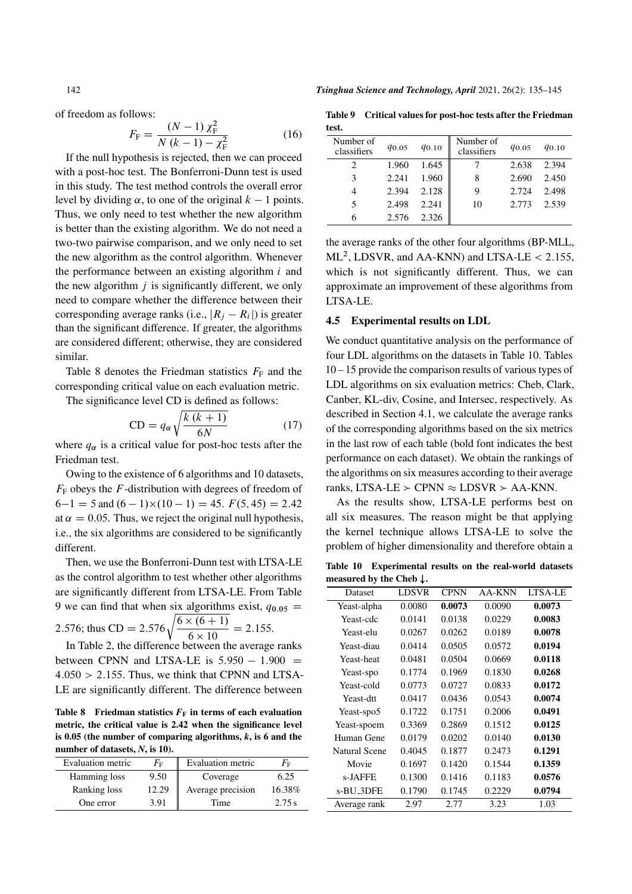of freedom as follows:

$$
F_{\rm F} = \frac{(N-1)\,\chi_{\rm F}^2}{N\,(k-1)-\chi_{\rm F}^2} \tag{16}
$$

If the null hypothesis is rejected, then we can proceed with a post-hoc test. The Bonferroni-Dunn test is used in this study. The test method controls the overall error level by dividing  $\alpha$ , to one of the original  $k - 1$  points. Thus, we only need to test whether the new algorithm is better than the existing algorithm. We do not need a two-two pairwise comparison, and we only need to set the new algorithm as the control algorithm. Whenever the performance between an existing algorithm  $i$  and the new algorithm  $i$  is significantly different, we only need to compare whether the difference between their corresponding average ranks (i.e.,  $|R_j - R_i|$ ) is greater than the significant difference. If greater, the algorithms are considered different; otherwise, they are considered similar.

Table 8 denotes the Friedman statistics  $F_F$  and the corresponding critical value on each evaluation metric.

The significance level CD is defined as follows:

$$
CD = q_{\alpha} \sqrt{\frac{k(k+1)}{6N}} \tag{17}
$$

where  $q_{\alpha}$  is a critical value for post-hoc tests after the Friedman test.

Owing to the existence of 6 algorithms and 10 datasets,  $F<sub>F</sub>$  obeys the F-distribution with degrees of freedom of  $6-1 = 5$  and  $(6-1)\times(10-1) = 45$ .  $F(5, 45) = 2.42$ at  $\alpha = 0.05$ . Thus, we reject the original null hypothesis, i.e., the six algorithms are considered to be significantly different.

Then, we use the Bonferroni-Dunn test with LTSA-LE as the control algorithm to test whether other algorithms are significantly different from LTSA-LE. From Table 9 we can find that when six algorithms exist,  $q_{0.05}$  = 2.576; thus CD = 2.576 $\sqrt{\frac{6 \times (6+1)}{6 \times (10^{-10})}}$ 

 $\frac{x(0+1)}{6 \times 10} = 2.155.$ In Table 2, the difference between the average ranks

between CPNN and LTSA-LE is  $5.950 - 1.900 =$  $4.050 > 2.155$ . Thus, we think that CPNN and LTSA-LE are significantly different. The difference between

Table 8 Friedman statistics  $F_F$  in terms of each evaluation metric, the critical value is 2.42 when the significance level is 0.05 (the number of comparing algorithms, *k*, is 6 and the number of datasets, *N*, is 10).

| Evaluation metric | $F_{\rm F}$ | Evaluation metric | $F_{\rm F}$ |
|-------------------|-------------|-------------------|-------------|
| Hamming loss      | 9.50        | Coverage          | 6.25        |
| Ranking loss      | 12.29       | Average precision | 16.38%      |
| One error         | 3.91        | Time              | 2.75s       |

Table 9 Critical values for post-hoc tests after the Friedman test.

| Number of<br>classifiers | <i>d</i> <sub>0.05</sub> | $q_{0.10}$ | Number of<br>classifiers | $q_{0.05}$ | $q_{0.10}$ |
|--------------------------|--------------------------|------------|--------------------------|------------|------------|
|                          | 1.960                    | 1.645      |                          | 2.638      | 2.394      |
| 3                        | 2.241                    | 1.960      | 8                        | 2.690      | 2.450      |
| 4                        | 2.394                    | 2.128      | 9                        | 2.724      | 2.498      |
| 5                        | 2.498                    | 2.241      | 10                       | 2.773      | 2.539      |
| 6                        | 2.576                    | 2.326      |                          |            |            |

the average ranks of the other four algorithms (BP-MLL,  $ML^2$ , LDSVR, and AA-KNN) and LTSA-LE < 2.155, which is not significantly different. Thus, we can approximate an improvement of these algorithms from LTSA-LE.

#### 4.5 Experimental results on LDL

We conduct quantitative analysis on the performance of four LDL algorithms on the datasets in Table 10. Tables 10 – 15 provide the comparison results of various types of LDL algorithms on six evaluation metrics: Cheb, Clark, Canber, KL-div, Cosine, and Intersec, respectively. As described in Section 4.1, we calculate the average ranks of the corresponding algorithms based on the six metrics in the last row of each table (bold font indicates the best performance on each dataset). We obtain the rankings of the algorithms on six measures according to their average ranks, LTSA-LE  $\ge$  CPNN  $\approx$  LDSVR  $\ge$  AA-KNN.

As the results show, LTSA-LE performs best on all six measures. The reason might be that applying the kernel technique allows LTSA-LE to solve the problem of higher dimensionality and therefore obtain a

Table 10 Experimental results on the real-world datasets measured by the Cheb  $\downarrow$ .

| Dataset       | <b>LDSVR</b> | <b>CPNN</b> | AA-KNN | LTSA-LE |
|---------------|--------------|-------------|--------|---------|
| Yeast-alpha   | 0.0080       | 0.0073      | 0.0090 | 0.0073  |
| Yeast-cdc     | 0.0141       | 0.0138      | 0.0229 | 0.0083  |
| Yeast-elu     | 0.0267       | 0.0262      | 0.0189 | 0.0078  |
| Yeast-diau    | 0.0414       | 0.0505      | 0.0572 | 0.0194  |
| Yeast-heat    | 0.0481       | 0.0504      | 0.0669 | 0.0118  |
| Yeast-spo     | 0.1774       | 0.1969      | 0.1830 | 0.0268  |
| Yeast-cold    | 0.0773       | 0.0727      | 0.0833 | 0.0172  |
| Yeast-dtt     | 0.0417       | 0.0436      | 0.0543 | 0.0074  |
| Yeast-spo5    | 0.1722       | 0.1751      | 0.2006 | 0.0491  |
| Yeast-spoem   | 0.3369       | 0.2869      | 0.1512 | 0.0125  |
| Human Gene    | 0.0179       | 0.0202      | 0.0140 | 0.0130  |
| Natural Scene | 0.4045       | 0.1877      | 0.2473 | 0.1291  |
| Movie         | 0.1697       | 0.1420      | 0.1544 | 0.1359  |
| s-JAFFE       | 0.1300       | 0.1416      | 0.1183 | 0.0576  |
| s-BU_3DFE     | 0.1790       | 0.1745      | 0.2229 | 0.0794  |
| Average rank  | 2.97         | 2.77        | 3.23   | 1.03    |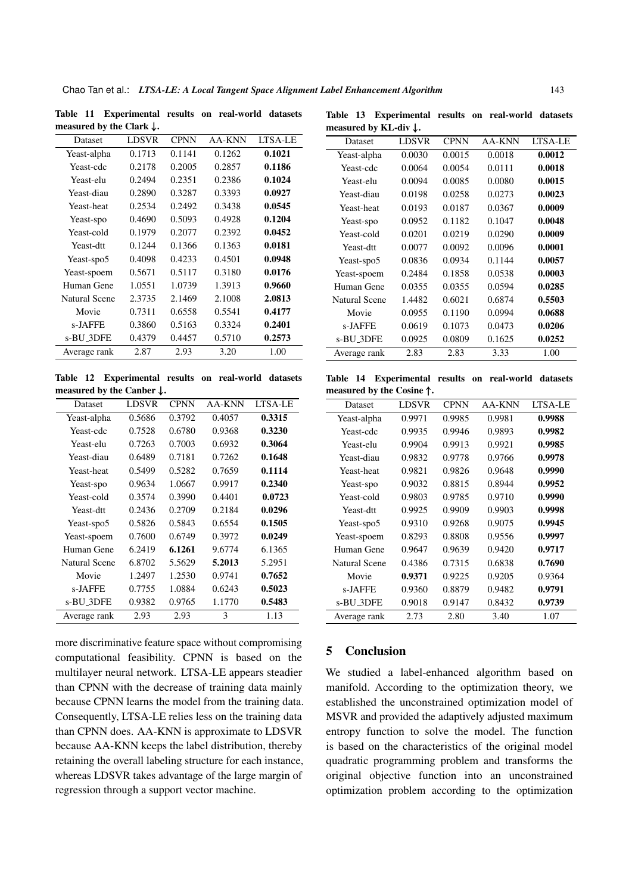| measured by the Clark $\downarrow$ . |              |             |        |         |
|--------------------------------------|--------------|-------------|--------|---------|
| Dataset                              | <b>LDSVR</b> | <b>CPNN</b> | AA-KNN | LTSA-LE |
| Yeast-alpha                          | 0.1713       | 0.1141      | 0.1262 | 0.1021  |
| Yeast-cdc                            | 0.2178       | 0.2005      | 0.2857 | 0.1186  |
| Yeast-elu                            | 0.2494       | 0.2351      | 0.2386 | 0.1024  |
| Yeast-diau                           | 0.2890       | 0.3287      | 0.3393 | 0.0927  |
| Yeast-heat                           | 0.2534       | 0.2492      | 0.3438 | 0.0545  |
| Yeast-spo                            | 0.4690       | 0.5093      | 0.4928 | 0.1204  |
| Yeast-cold                           | 0.1979       | 0.2077      | 0.2392 | 0.0452  |
| Yeast-dtt                            | 0.1244       | 0.1366      | 0.1363 | 0.0181  |
| Yeast-spo5                           | 0.4098       | 0.4233      | 0.4501 | 0.0948  |
| Yeast-spoem                          | 0.5671       | 0.5117      | 0.3180 | 0.0176  |
| Human Gene                           | 1.0551       | 1.0739      | 1.3913 | 0.9660  |
| <b>Natural Scene</b>                 | 2.3735       | 2.1469      | 2.1008 | 2.0813  |
| Movie                                | 0.7311       | 0.6558      | 0.5541 | 0.4177  |
| s-JAFFE                              | 0.3860       | 0.5163      | 0.3324 | 0.2401  |
| s-BU_3DFE                            | 0.4379       | 0.4457      | 0.5710 | 0.2573  |
| Average rank                         | 2.87         | 2.93        | 3.20   | 1.00    |

Table 11 Experimental results on real-world datasets measured by the Clark  $\downarrow$ .

|  | Table 13 Experimental results on real-world datasets |  |  |
|--|------------------------------------------------------|--|--|
|  | measured by KL-div $\downarrow$ .                    |  |  |

| Dataset       | <b>LDSVR</b> | <b>CPNN</b> | AA-KNN | LTSA-LE |
|---------------|--------------|-------------|--------|---------|
| Yeast-alpha   | 0.0030       | 0.0015      | 0.0018 | 0.0012  |
| Yeast-cdc     | 0.0064       | 0.0054      | 0.0111 | 0.0018  |
| Yeast-elu     | 0.0094       | 0.0085      | 0.0080 | 0.0015  |
| Yeast-diau    | 0.0198       | 0.0258      | 0.0273 | 0.0023  |
| Yeast-heat    | 0.0193       | 0.0187      | 0.0367 | 0.0009  |
| Yeast-spo     | 0.0952       | 0.1182      | 0.1047 | 0.0048  |
| Yeast-cold    | 0.0201       | 0.0219      | 0.0290 | 0.0009  |
| Yeast-dtt     | 0.0077       | 0.0092      | 0.0096 | 0.0001  |
| Yeast-spo5    | 0.0836       | 0.0934      | 0.1144 | 0.0057  |
| Yeast-spoem   | 0.2484       | 0.1858      | 0.0538 | 0.0003  |
| Human Gene    | 0.0355       | 0.0355      | 0.0594 | 0.0285  |
| Natural Scene | 1.4482       | 0.6021      | 0.6874 | 0.5503  |
| Movie         | 0.0955       | 0.1190      | 0.0994 | 0.0688  |
| s-JAFFE       | 0.0619       | 0.1073      | 0.0473 | 0.0206  |
| s-BU_3DFE     | 0.0925       | 0.0809      | 0.1625 | 0.0252  |
| Average rank  | 2.83         | 2.83        | 3.33   | 1.00    |

Table 12 Experimental results on real-world datasets measured by the Canber  $\downarrow$ .

| Dataset       | <b>LDSVR</b> | <b>CPNN</b> | AA-KNN | LTSA-LE |
|---------------|--------------|-------------|--------|---------|
| Yeast-alpha   | 0.5686       | 0.3792      | 0.4057 | 0.3315  |
| Yeast-cdc     | 0.7528       | 0.6780      | 0.9368 | 0.3230  |
| Yeast-elu     | 0.7263       | 0.7003      | 0.6932 | 0.3064  |
| Yeast-diau    | 0.6489       | 0.7181      | 0.7262 | 0.1648  |
| Yeast-heat    | 0.5499       | 0.5282      | 0.7659 | 0.1114  |
| Yeast-spo     | 0.9634       | 1.0667      | 0.9917 | 0.2340  |
| Yeast-cold    | 0.3574       | 0.3990      | 0.4401 | 0.0723  |
| Yeast-dtt     | 0.2436       | 0.2709      | 0.2184 | 0.0296  |
| Yeast-spo5    | 0.5826       | 0.5843      | 0.6554 | 0.1505  |
| Yeast-spoem   | 0.7600       | 0.6749      | 0.3972 | 0.0249  |
| Human Gene    | 6.2419       | 6.1261      | 9.6774 | 6.1365  |
| Natural Scene | 6.8702       | 5.5629      | 5.2013 | 5.2951  |
| Movie         | 1.2497       | 1.2530      | 0.9741 | 0.7652  |
| s-JAFFE       | 0.7755       | 1.0884      | 0.6243 | 0.5023  |
| s-BU_3DFE     | 0.9382       | 0.9765      | 1.1770 | 0.5483  |
| Average rank  | 2.93         | 2.93        | 3      | 1.13    |

more discriminative feature space without compromising computational feasibility. CPNN is based on the multilayer neural network. LTSA-LE appears steadier than CPNN with the decrease of training data mainly because CPNN learns the model from the training data. Consequently, LTSA-LE relies less on the training data than CPNN does. AA-KNN is approximate to LDSVR because AA-KNN keeps the label distribution, thereby retaining the overall labeling structure for each instance, whereas LDSVR takes advantage of the large margin of regression through a support vector machine.

Table 14 Experimental results on real-world datasets measured by the  $C$ osine  $\uparrow$ 

| $mca$ surea by the cosme $\alpha$ |              |             |        |         |  |
|-----------------------------------|--------------|-------------|--------|---------|--|
| <b>Dataset</b>                    | <b>LDSVR</b> | <b>CPNN</b> | AA-KNN | LTSA-LE |  |
| Yeast-alpha                       | 0.9971       | 0.9985      | 0.9981 | 0.9988  |  |
| Yeast-cdc                         | 0.9935       | 0.9946      | 0.9893 | 0.9982  |  |
| Yeast-elu                         | 0.9904       | 0.9913      | 0.9921 | 0.9985  |  |
| Yeast-diau                        | 0.9832       | 0.9778      | 0.9766 | 0.9978  |  |
| Yeast-heat                        | 0.9821       | 0.9826      | 0.9648 | 0.9990  |  |
| Yeast-spo                         | 0.9032       | 0.8815      | 0.8944 | 0.9952  |  |
| Yeast-cold                        | 0.9803       | 0.9785      | 0.9710 | 0.9990  |  |
| Yeast-dtt                         | 0.9925       | 0.9909      | 0.9903 | 0.9998  |  |
| Yeast-spo5                        | 0.9310       | 0.9268      | 0.9075 | 0.9945  |  |
| Yeast-spoem                       | 0.8293       | 0.8808      | 0.9556 | 0.9997  |  |
| Human Gene                        | 0.9647       | 0.9639      | 0.9420 | 0.9717  |  |
| Natural Scene                     | 0.4386       | 0.7315      | 0.6838 | 0.7690  |  |
| Movie                             | 0.9371       | 0.9225      | 0.9205 | 0.9364  |  |
| s-JAFFE                           | 0.9360       | 0.8879      | 0.9482 | 0.9791  |  |
| s-BU_3DFE                         | 0.9018       | 0.9147      | 0.8432 | 0.9739  |  |
| Average rank                      | 2.73         | 2.80        | 3.40   | 1.07    |  |

# 5 Conclusion

We studied a label-enhanced algorithm based on manifold. According to the optimization theory, we established the unconstrained optimization model of MSVR and provided the adaptively adjusted maximum entropy function to solve the model. The function is based on the characteristics of the original model quadratic programming problem and transforms the original objective function into an unconstrained optimization problem according to the optimization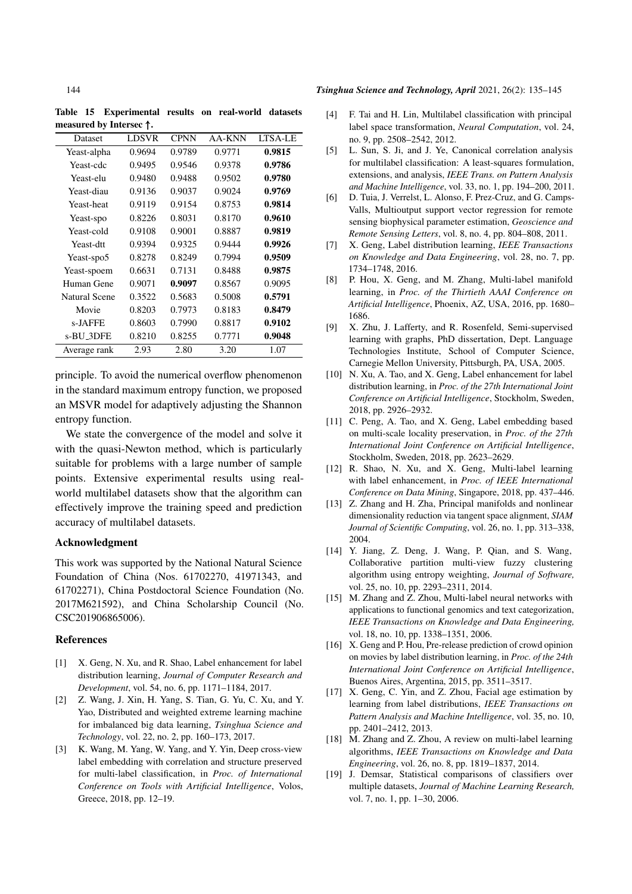Table 15 Experimental results on real-world datasets measured by Intersec  $\uparrow$ .

| Dataset              | <b>LDSVR</b> | <b>CPNN</b> | AA-KNN | LTSA-LE |
|----------------------|--------------|-------------|--------|---------|
| Yeast-alpha          | 0.9694       | 0.9789      | 0.9771 | 0.9815  |
| Yeast-cdc            | 0.9495       | 0.9546      | 0.9378 | 0.9786  |
| Yeast-elu            | 0.9480       | 0.9488      | 0.9502 | 0.9780  |
| Yeast-diau           | 0.9136       | 0.9037      | 0.9024 | 0.9769  |
| Yeast-heat           | 0.9119       | 0.9154      | 0.8753 | 0.9814  |
| Yeast-spo            | 0.8226       | 0.8031      | 0.8170 | 0.9610  |
| Yeast-cold           | 0.9108       | 0.9001      | 0.8887 | 0.9819  |
| Yeast-dtt            | 0.9394       | 0.9325      | 0.9444 | 0.9926  |
| Yeast-spo5           | 0.8278       | 0.8249      | 0.7994 | 0.9509  |
| Yeast-spoem          | 0.6631       | 0.7131      | 0.8488 | 0.9875  |
| Human Gene           | 0.9071       | 0.9097      | 0.8567 | 0.9095  |
| <b>Natural Scene</b> | 0.3522       | 0.5683      | 0.5008 | 0.5791  |
| Movie                | 0.8203       | 0.7973      | 0.8183 | 0.8479  |
| s-JAFFE              | 0.8603       | 0.7990      | 0.8817 | 0.9102  |
| s-BU_3DFE            | 0.8210       | 0.8255      | 0.7771 | 0.9048  |
| Average rank         | 2.93         | 2.80        | 3.20   | 1.07    |

principle. To avoid the numerical overflow phenomenon in the standard maximum entropy function, we proposed an MSVR model for adaptively adjusting the Shannon entropy function.

We state the convergence of the model and solve it with the quasi-Newton method, which is particularly suitable for problems with a large number of sample points. Extensive experimental results using realworld multilabel datasets show that the algorithm can effectively improve the training speed and prediction accuracy of multilabel datasets.

# Acknowledgment

This work was supported by the National Natural Science Foundation of China (Nos. 61702270, 41971343, and 61702271), China Postdoctoral Science Foundation (No. 2017M621592), and China Scholarship Council (No. CSC201906865006).

#### References

- [1] X. Geng, N. Xu, and R. Shao, Label enhancement for label distribution learning, *Journal of Computer Research and Development*, vol. 54, no. 6, pp. 1171–1184, 2017.
- [2] Z. Wang, J. Xin, H. Yang, S. Tian, G. Yu, C. Xu, and Y. Yao, Distributed and weighted extreme learning machine for imbalanced big data learning, *Tsinghua Science and Technology*, vol. 22, no. 2, pp. 160–173, 2017.
- [3] K. Wang, M. Yang, W. Yang, and Y. Yin, Deep cross-view label embedding with correlation and structure preserved for multi-label classification, in *Proc. of International Conference on Tools with Artificial Intelligence*, Volos, Greece, 2018, pp. 12–19.

#### 144 *Tsinghua Science and Technology, April* 2021, 26(2): 135–145

- [4] F. Tai and H. Lin, Multilabel classification with principal label space transformation, *Neural Computation*, vol. 24, no. 9, pp. 2508–2542, 2012.
- [5] L. Sun, S. Ji, and J. Ye, Canonical correlation analysis for multilabel classification: A least-squares formulation, extensions, and analysis, *IEEE Trans. on Pattern Analysis and Machine Intelligence*, vol. 33, no. 1, pp. 194–200, 2011.
- [6] D. Tuia, J. Verrelst, L. Alonso, F. Prez-Cruz, and G. Camps-Valls, Multioutput support vector regression for remote sensing biophysical parameter estimation, *Geoscience and Remote Sensing Letters*, vol. 8, no. 4, pp. 804–808, 2011.
- [7] X. Geng, Label distribution learning, *IEEE Transactions on Knowledge and Data Engineering*, vol. 28, no. 7, pp. 1734–1748, 2016.
- [8] P. Hou, X. Geng, and M. Zhang, Multi-label manifold learning, in *Proc. of the Thirtieth AAAI Conference on Artificial Intelligence*, Phoenix, AZ, USA, 2016, pp. 1680– 1686.
- [9] X. Zhu, J. Lafferty, and R. Rosenfeld, Semi-supervised learning with graphs, PhD dissertation, Dept. Language Technologies Institute, School of Computer Science, Carnegie Mellon University, Pittsburgh, PA, USA, 2005.
- [10] N. Xu, A. Tao, and X. Geng, Label enhancement for label distribution learning, in *Proc. of the 27th International Joint Conference on Artificial Intelligence*, Stockholm, Sweden, 2018, pp. 2926–2932.
- [11] C. Peng, A. Tao, and X. Geng, Label embedding based on multi-scale locality preservation, in *Proc. of the 27th International Joint Conference on Artificial Intelligence*, Stockholm, Sweden, 2018, pp. 2623–2629.
- [12] R. Shao, N. Xu, and X. Geng, Multi-label learning with label enhancement, in *Proc. of IEEE International Conference on Data Mining*, Singapore, 2018, pp. 437–446.
- [13] Z. Zhang and H. Zha, Principal manifolds and nonlinear dimensionality reduction via tangent space alignment, *SIAM Journal of Scientific Computing*, vol. 26, no. 1, pp. 313–338, 2004.
- [14] Y. Jiang, Z. Deng, J. Wang, P. Qian, and S. Wang, Collaborative partition multi-view fuzzy clustering algorithm using entropy weighting, *Journal of Software,* vol. 25, no. 10, pp. 2293–2311, 2014.
- [15] M. Zhang and Z. Zhou, Multi-label neural networks with applications to functional genomics and text categorization, *IEEE Transactions on Knowledge and Data Engineering,* vol. 18, no. 10, pp. 1338–1351, 2006.
- [16] X. Geng and P. Hou, Pre-release prediction of crowd opinion on movies by label distribution learning, in *Proc. of the 24th International Joint Conference on Artificial Intelligence*, Buenos Aires, Argentina, 2015, pp. 3511–3517.
- [17] X. Geng, C. Yin, and Z. Zhou, Facial age estimation by learning from label distributions, *IEEE Transactions on Pattern Analysis and Machine Intelligence*, vol. 35, no. 10, pp. 2401–2412, 2013.
- [18] M. Zhang and Z. Zhou, A review on multi-label learning algorithms, *IEEE Transactions on Knowledge and Data Engineering*, vol. 26, no. 8, pp. 1819–1837, 2014.
- [19] J. Demsar, Statistical comparisons of classifiers over multiple datasets, *Journal of Machine Learning Research,* vol. 7, no. 1, pp. 1–30, 2006.